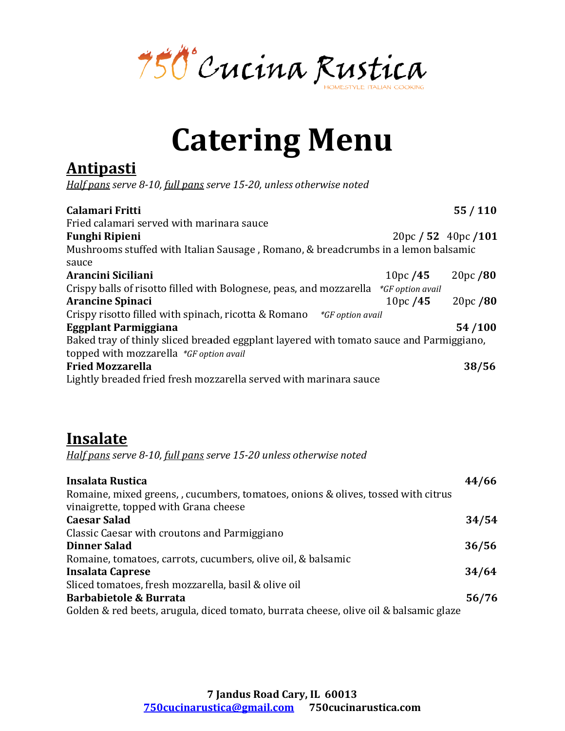750 Cucina Rustica

## Catering Menu Catering Menu

## **Antipasti**

| <b>Catering Menu</b><br><u>Antipasti</u><br>Half pans serve 8-10, full pans serve 15-20, unless otherwise noted<br>55/110<br>Calamari Fritti<br>Fried calamari served with marinara sauce<br><b>Funghi Ripieni</b><br>20pc / 52 40pc / 101<br>Mushrooms stuffed with Italian Sausage, Romano, & breadcrumbs in a lemon balsamic<br>sauce<br>Arancini Siciliani<br>20pc/80<br>10pc/45<br>Crispy balls of risotto filled with Bolognese, peas, and mozzarella<br>*GF option avail<br>20pc/80<br><b>Arancine Spinaci</b><br>10pc/45<br>Crispy risotto filled with spinach, ricotta & Romano<br>*GF option avail<br><b>Eggplant Parmiggiana</b><br>54/100<br>Baked tray of thinly sliced breaded eggplant layered with tomato sauce and Parmiggiano,<br>topped with mozzarella *GF option avail<br><b>Fried Mozzarella</b><br>38/56<br>Lightly breaded fried fresh mozzarella served with marinara sauce<br><u>Insalate</u><br>Half pans serve 8-10, full pans serve 15-20 unless otherwise noted |
|-----------------------------------------------------------------------------------------------------------------------------------------------------------------------------------------------------------------------------------------------------------------------------------------------------------------------------------------------------------------------------------------------------------------------------------------------------------------------------------------------------------------------------------------------------------------------------------------------------------------------------------------------------------------------------------------------------------------------------------------------------------------------------------------------------------------------------------------------------------------------------------------------------------------------------------------------------------------------------------------------|
|                                                                                                                                                                                                                                                                                                                                                                                                                                                                                                                                                                                                                                                                                                                                                                                                                                                                                                                                                                                               |
|                                                                                                                                                                                                                                                                                                                                                                                                                                                                                                                                                                                                                                                                                                                                                                                                                                                                                                                                                                                               |
|                                                                                                                                                                                                                                                                                                                                                                                                                                                                                                                                                                                                                                                                                                                                                                                                                                                                                                                                                                                               |
|                                                                                                                                                                                                                                                                                                                                                                                                                                                                                                                                                                                                                                                                                                                                                                                                                                                                                                                                                                                               |
|                                                                                                                                                                                                                                                                                                                                                                                                                                                                                                                                                                                                                                                                                                                                                                                                                                                                                                                                                                                               |
|                                                                                                                                                                                                                                                                                                                                                                                                                                                                                                                                                                                                                                                                                                                                                                                                                                                                                                                                                                                               |
|                                                                                                                                                                                                                                                                                                                                                                                                                                                                                                                                                                                                                                                                                                                                                                                                                                                                                                                                                                                               |
|                                                                                                                                                                                                                                                                                                                                                                                                                                                                                                                                                                                                                                                                                                                                                                                                                                                                                                                                                                                               |
|                                                                                                                                                                                                                                                                                                                                                                                                                                                                                                                                                                                                                                                                                                                                                                                                                                                                                                                                                                                               |
|                                                                                                                                                                                                                                                                                                                                                                                                                                                                                                                                                                                                                                                                                                                                                                                                                                                                                                                                                                                               |
|                                                                                                                                                                                                                                                                                                                                                                                                                                                                                                                                                                                                                                                                                                                                                                                                                                                                                                                                                                                               |
|                                                                                                                                                                                                                                                                                                                                                                                                                                                                                                                                                                                                                                                                                                                                                                                                                                                                                                                                                                                               |
|                                                                                                                                                                                                                                                                                                                                                                                                                                                                                                                                                                                                                                                                                                                                                                                                                                                                                                                                                                                               |
|                                                                                                                                                                                                                                                                                                                                                                                                                                                                                                                                                                                                                                                                                                                                                                                                                                                                                                                                                                                               |
|                                                                                                                                                                                                                                                                                                                                                                                                                                                                                                                                                                                                                                                                                                                                                                                                                                                                                                                                                                                               |
|                                                                                                                                                                                                                                                                                                                                                                                                                                                                                                                                                                                                                                                                                                                                                                                                                                                                                                                                                                                               |
|                                                                                                                                                                                                                                                                                                                                                                                                                                                                                                                                                                                                                                                                                                                                                                                                                                                                                                                                                                                               |
|                                                                                                                                                                                                                                                                                                                                                                                                                                                                                                                                                                                                                                                                                                                                                                                                                                                                                                                                                                                               |
|                                                                                                                                                                                                                                                                                                                                                                                                                                                                                                                                                                                                                                                                                                                                                                                                                                                                                                                                                                                               |
|                                                                                                                                                                                                                                                                                                                                                                                                                                                                                                                                                                                                                                                                                                                                                                                                                                                                                                                                                                                               |
|                                                                                                                                                                                                                                                                                                                                                                                                                                                                                                                                                                                                                                                                                                                                                                                                                                                                                                                                                                                               |
|                                                                                                                                                                                                                                                                                                                                                                                                                                                                                                                                                                                                                                                                                                                                                                                                                                                                                                                                                                                               |
|                                                                                                                                                                                                                                                                                                                                                                                                                                                                                                                                                                                                                                                                                                                                                                                                                                                                                                                                                                                               |
| <b>Insalata Rustica</b><br>44/66                                                                                                                                                                                                                                                                                                                                                                                                                                                                                                                                                                                                                                                                                                                                                                                                                                                                                                                                                              |
| Romaine, mixed greens, , cucumbers, tomatoes, onions & olives, tossed with citrus                                                                                                                                                                                                                                                                                                                                                                                                                                                                                                                                                                                                                                                                                                                                                                                                                                                                                                             |
| vinaigrette, topped with Grana cheese                                                                                                                                                                                                                                                                                                                                                                                                                                                                                                                                                                                                                                                                                                                                                                                                                                                                                                                                                         |
| 34/54<br><b>Caesar Salad</b>                                                                                                                                                                                                                                                                                                                                                                                                                                                                                                                                                                                                                                                                                                                                                                                                                                                                                                                                                                  |
| Classic Caesar with croutons and Parmiggiano                                                                                                                                                                                                                                                                                                                                                                                                                                                                                                                                                                                                                                                                                                                                                                                                                                                                                                                                                  |
| <b>Dinner Salad</b><br>36/56                                                                                                                                                                                                                                                                                                                                                                                                                                                                                                                                                                                                                                                                                                                                                                                                                                                                                                                                                                  |
| Romaine, tomatoes, carrots, cucumbers, olive oil, & balsamic                                                                                                                                                                                                                                                                                                                                                                                                                                                                                                                                                                                                                                                                                                                                                                                                                                                                                                                                  |
| <b>Insalata Caprese</b><br>34/64                                                                                                                                                                                                                                                                                                                                                                                                                                                                                                                                                                                                                                                                                                                                                                                                                                                                                                                                                              |
| Sliced tomatoes, fresh mozzarella, basil & olive oil<br><b>Barbabietole &amp; Burrata</b>                                                                                                                                                                                                                                                                                                                                                                                                                                                                                                                                                                                                                                                                                                                                                                                                                                                                                                     |
| 56/76<br>Golden & red beets, arugula, diced tomato, burrata cheese, olive oil & balsamic glaze                                                                                                                                                                                                                                                                                                                                                                                                                                                                                                                                                                                                                                                                                                                                                                                                                                                                                                |

## **Insalate**

| Insalata Rustica                                                                      | 44/66 |
|---------------------------------------------------------------------------------------|-------|
| Romaine, mixed greens, , cucumbers, tomatoes, onions & olives, tossed with citrus     |       |
| vinaigrette, topped with Grana cheese                                                 |       |
| <b>Caesar Salad</b>                                                                   | 34/54 |
| Classic Caesar with croutons and Parmiggiano                                          |       |
| <b>Dinner Salad</b>                                                                   | 36/56 |
| Romaine, tomatoes, carrots, cucumbers, olive oil, & balsamic                          |       |
| <b>Insalata Caprese</b>                                                               | 34/64 |
| Sliced tomatoes, fresh mozzarella, basil & olive oil                                  |       |
| <b>Barbabietole &amp; Burrata</b>                                                     | 56/76 |
| Golden & red beets, arugula, diced tomato, burrata cheese, olive oil & balsamic glaze |       |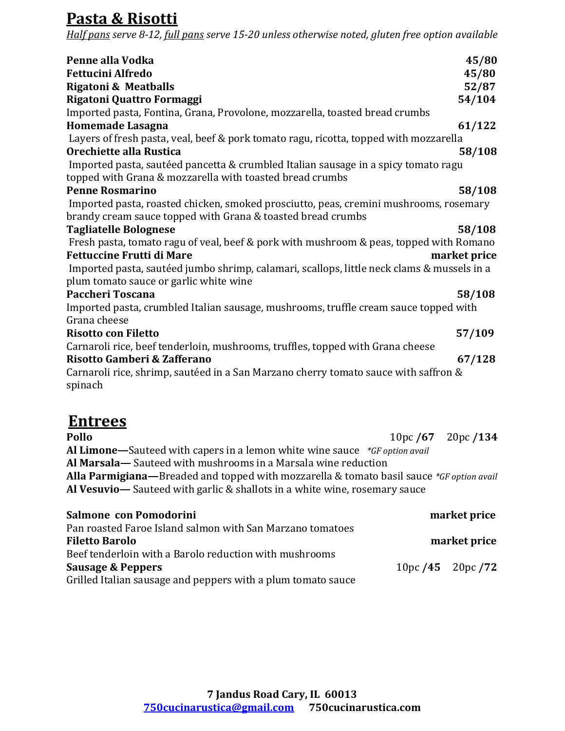## Pasta & Risotti

Half pans serve 8-12, full pans serve 15-20 unless otherwise noted, gluten free option available

| Penne alla Vodka                                                                           | 45/80        |
|--------------------------------------------------------------------------------------------|--------------|
| <b>Fettucini Alfredo</b>                                                                   | 45/80        |
| <b>Rigatoni &amp; Meatballs</b>                                                            | 52/87        |
| Rigatoni Quattro Formaggi                                                                  | 54/104       |
| Imported pasta, Fontina, Grana, Provolone, mozzarella, toasted bread crumbs                |              |
| Homemade Lasagna                                                                           | 61/122       |
| Layers of fresh pasta, veal, beef & pork tomato ragu, ricotta, topped with mozzarella      |              |
| Orechiette alla Rustica                                                                    | 58/108       |
| Imported pasta, sautéed pancetta & crumbled Italian sausage in a spicy tomato ragu         |              |
| topped with Grana & mozzarella with toasted bread crumbs                                   |              |
| <b>Penne Rosmarino</b>                                                                     | 58/108       |
| Imported pasta, roasted chicken, smoked prosciutto, peas, cremini mushrooms, rosemary      |              |
| brandy cream sauce topped with Grana & toasted bread crumbs                                |              |
| <b>Tagliatelle Bolognese</b>                                                               | 58/108       |
| Fresh pasta, tomato ragu of veal, beef & pork with mushroom & peas, topped with Romano     |              |
| <b>Fettuccine Frutti di Mare</b>                                                           | market price |
| Imported pasta, sautéed jumbo shrimp, calamari, scallops, little neck clams & mussels in a |              |
| plum tomato sauce or garlic white wine                                                     |              |
| Paccheri Toscana                                                                           | 58/108       |
| Imported pasta, crumbled Italian sausage, mushrooms, truffle cream sauce topped with       |              |
| Grana cheese                                                                               |              |
| <b>Risotto con Filetto</b>                                                                 | 57/109       |
| Carnaroli rice, beef tenderloin, mushrooms, truffles, topped with Grana cheese             |              |
| Risotto Gamberi & Zafferano                                                                | 67/128       |
| Carnaroli rice, shrimp, sautéed in a San Marzano cherry tomato sauce with saffron &        |              |
| spinach                                                                                    |              |
|                                                                                            |              |
| <b>Entrees</b>                                                                             |              |
| Pollo<br>10pc/ $67$                                                                        | 20pc/134     |
| Al Limone—Sauteed with capers in a lemon white wine sauce *GF option avail                 |              |
| Al Marsala-Sauteed with mushrooms in a Marsala wine reduction                              |              |

Alla Parmigiana—Breaded and topped with mozzarella & tomato basil sauce \*GF option avail Al Vesuvio— Sauteed with garlic & shallots in a white wine, rosemary sauce

| Salmone con Pomodorini                                       |                   | market price |
|--------------------------------------------------------------|-------------------|--------------|
| Pan roasted Faroe Island salmon with San Marzano tomatoes    |                   |              |
| <b>Filetto Barolo</b>                                        |                   | market price |
| Beef tenderloin with a Barolo reduction with mushrooms       |                   |              |
| Sausage & Peppers                                            | 10pc/45 $20pc/72$ |              |
| Grilled Italian sausage and peppers with a plum tomato sauce |                   |              |